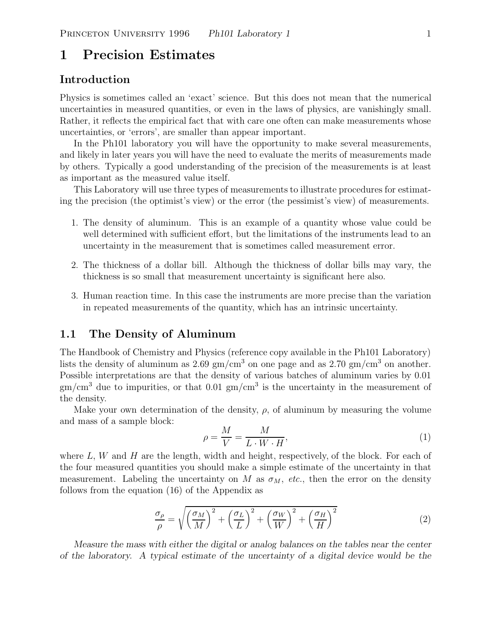# **1 Precision Estimates**

## **Introduction**

Physics is sometimes called an 'exact' science. But this does not mean that the numerical uncertainties in measured quantities, or even in the laws of physics, are vanishingly small. Rather, it reflects the empirical fact that with care one often can make measurements whose uncertainties, or 'errors', are smaller than appear important.

In the Ph101 laboratory you will have the opportunity to make several measurements, and likely in later years you will have the need to evaluate the merits of measurements made by others. Typically a good understanding of the precision of the measurements is at least as important as the measured value itself.

This Laboratory will use three types of measurements to illustrate procedures for estimating the precision (the optimist's view) or the error (the pessimist's view) of measurements.

- 1. The density of aluminum. This is an example of a quantity whose value could be well determined with sufficient effort, but the limitations of the instruments lead to an uncertainty in the measurement that is sometimes called measurement error.
- 2. The thickness of a dollar bill. Although the thickness of dollar bills may vary, the thickness is so small that measurement uncertainty is significant here also.
- 3. Human reaction time. In this case the instruments are more precise than the variation in repeated measurements of the quantity, which has an intrinsic uncertainty.

### **1.1 The Density of Aluminum**

The Handbook of Chemistry and Physics (reference copy available in the Ph101 Laboratory) lists the density of aluminum as  $2.69 \text{ gm/cm}^3$  on one page and as  $2.70 \text{ gm/cm}^3$  on another. Possible interpretations are that the density of various batches of aluminum varies by 0.01  $\text{gm/cm}^3$  due to impurities, or that 0.01  $\text{gm/cm}^3$  is the uncertainty in the measurement of the density.

Make your own determination of the density,  $\rho$ , of aluminum by measuring the volume and mass of a sample block:

$$
\rho = \frac{M}{V} = \frac{M}{L \cdot W \cdot H},\tag{1}
$$

where  $L, W$  and  $H$  are the length, width and height, respectively, of the block. For each of the four measured quantities you should make a simple estimate of the uncertainty in that measurement. Labeling the uncertainty on M as  $\sigma_M$ , *etc.*, then the error on the density follows from the equation (16) of the Appendix as

$$
\frac{\sigma_{\rho}}{\rho} = \sqrt{\left(\frac{\sigma_M}{M}\right)^2 + \left(\frac{\sigma_L}{L}\right)^2 + \left(\frac{\sigma_W}{W}\right)^2 + \left(\frac{\sigma_H}{H}\right)^2} \tag{2}
$$

*Measure the mass with either the digital or analog balances on the tables near the center of the laboratory. A typical estimate of the uncertainty of a digital device would be the*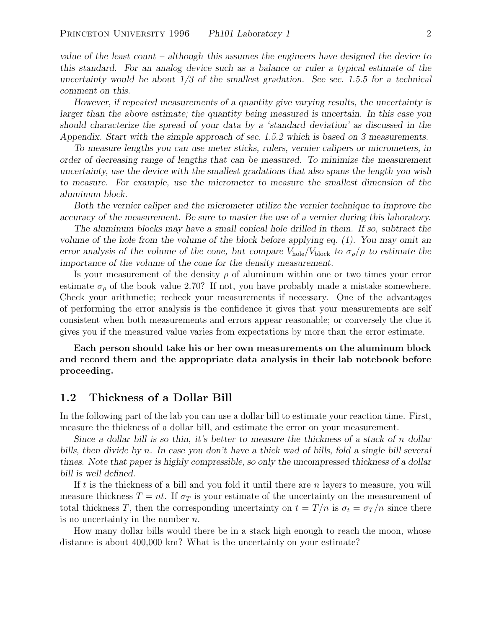*value of the least count – although this assumes the engineers have designed the device to this standard. For an analog device such as a balance or ruler a typical estimate of the uncertainty would be about 1/3 of the smallest gradation. See sec. 1.5.5 for a technical comment on this.*

*However, if repeated measurements of a quantity give varying results, the uncertainty is larger than the above estimate; the quantity being measured is uncertain. In this case you should characterize the spread of your data by a 'standard deviation' as discussed in the Appendix. Start with the simple approach of sec. 1.5.2 which is based on 3 measurements.*

*To measure lengths you can use meter sticks, rulers, vernier calipers or micrometers, in order of decreasing range of lengths that can be measured. To minimize the measurement uncertainty, use the device with the smallest gradations that also spans the length you wish to measure. For example, use the micrometer to measure the smallest dimension of the aluminum block.*

*Both the vernier caliper and the micrometer utilize the vernier technique to improve the accuracy of the measurement. Be sure to master the use of a vernier during this laboratory.*

*The aluminum blocks may have a small conical hole drilled in them. If so, subtract the volume of the hole from the volume of the block before applying eq. (1). You may omit an error analysis of the volume of the cone, but compare*  $V_{\text{hole}}/V_{\text{block}}$  *to*  $\sigma_{\rho}/\rho$  *to estimate the importance of the volume of the cone for the density measurement.*

Is your measurement of the density  $\rho$  of aluminum within one or two times your error estimate  $\sigma_{\rho}$  of the book value 2.70? If not, you have probably made a mistake somewhere. Check your arithmetic; recheck your measurements if necessary. One of the advantages of performing the error analysis is the confidence it gives that your measurements are self consistent when both measurements and errors appear reasonable; or conversely the clue it gives you if the measured value varies from expectations by more than the error estimate.

**Each person should take his or her own measurements on the aluminum block and record them and the appropriate data analysis in their lab notebook before proceeding.**

### **1.2 Thickness of a Dollar Bill**

In the following part of the lab you can use a dollar bill to estimate your reaction time. First, measure the thickness of a dollar bill, and estimate the error on your measurement.

*Since a dollar bill is so thin, it's better to measure the thickness of a stack of* n *dollar bills, then divide by* n*. In case you don't have a thick wad of bills, fold a single bill several times. Note that paper is highly compressible, so only the uncompressed thickness of a dollar bill is well defined.*

If t is the thickness of a bill and you fold it until there are  $n$  layers to measure, you will measure thickness  $T = nt$ . If  $\sigma_T$  is your estimate of the uncertainty on the measurement of total thickness T, then the corresponding uncertainty on  $t = T/n$  is  $\sigma_t = \sigma_T/n$  since there is no uncertainty in the number  $n$ .

How many dollar bills would there be in a stack high enough to reach the moon, whose distance is about 400,000 km? What is the uncertainty on your estimate?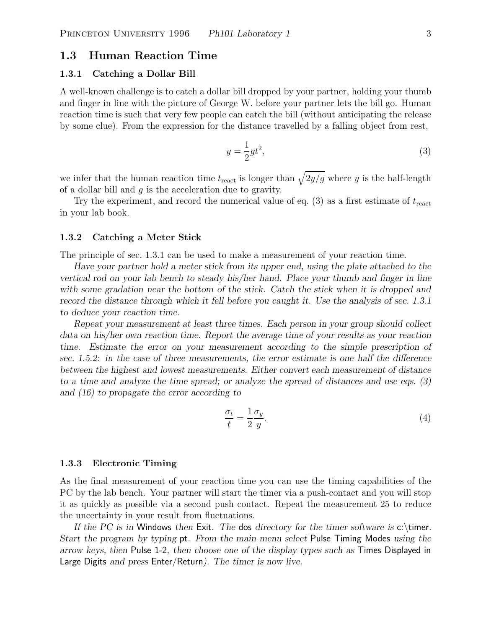### **1.3 Human Reaction Time**

### **1.3.1 Catching a Dollar Bill**

A well-known challenge is to catch a dollar bill dropped by your partner, holding your thumb and finger in line with the picture of George W. before your partner lets the bill go. Human reaction time is such that very few people can catch the bill (without anticipating the release by some clue). From the expression for the distance travelled by a falling object from rest,

$$
y = \frac{1}{2}gt^2,\tag{3}
$$

we infer that the human reaction time  $t_{\text{react}}$  is longer than  $\sqrt{2y/g}$  where y is the half-length of a dollar bill and  $g$  is the acceleration due to gravity.

Try the experiment, and record the numerical value of eq.  $(3)$  as a first estimate of  $t_{\text{react}}$ in your lab book.

#### **1.3.2 Catching a Meter Stick**

The principle of sec. 1.3.1 can be used to make a measurement of your reaction time.

*Have your partner hold a meter stick from its upper end, using the plate attached to the vertical rod on your lab bench to steady his/her hand. Place your thumb and finger in line with some gradation near the bottom of the stick. Catch the stick when it is dropped and record the distance through which it fell before you caught it. Use the analysis of sec. 1.3.1 to deduce your reaction time.*

*Repeat your measurement at least three times. Each person in your group should collect data on his/her own reaction time. Report the average time of your results as your reaction time. Estimate the error on your measurement according to the simple prescription of sec. 1.5.2: in the case of three measurements, the error estimate is one half the difference between the highest and lowest measurements. Either convert each measurement of distance to a time and analyze the time spread; or analyze the spread of distances and use eqs. (3) and (16) to propagate the error according to*

$$
\frac{\sigma_t}{t} = \frac{1}{2} \frac{\sigma_y}{y}.\tag{4}
$$

#### **1.3.3 Electronic Timing**

As the final measurement of your reaction time you can use the timing capabilities of the PC by the lab bench. Your partner will start the timer via a push-contact and you will stop it as quickly as possible via a second push contact. Repeat the measurement 25 to reduce the uncertainty in your result from fluctuations.

*If the PC is in* Windows *then* Exit*. The* dos *directory for the timer software is* c:\timer*. Start the program by typing* pt*. From the main menu select* Pulse Timing Modes *using the arrow keys, then* Pulse 1-2*, then choose one of the display types such as* Times Displayed in Large Digits *and press* Enter/Return*). The timer is now live.*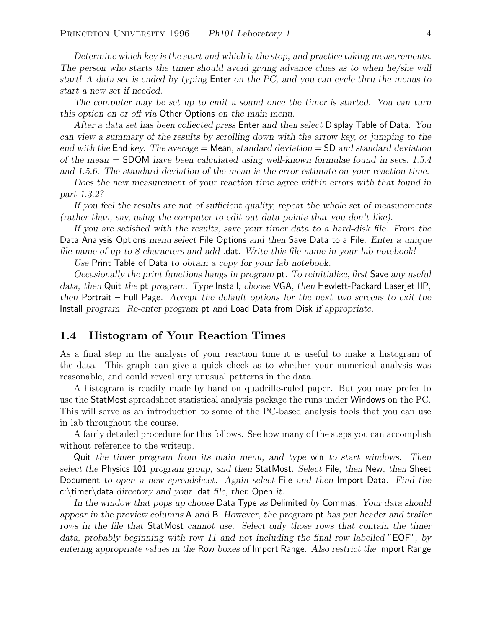*Determine which key is the start and which is the stop, and practice taking measurements. The person who starts the timer should avoid giving advance clues as to when he/she will start! A data set is ended by typing* Enter *on the PC, and you can cycle thru the menus to start a new set if needed.*

*The computer may be set up to emit a sound once the timer is started. You can turn this option on or off via* Other Options *on the main menu.*

*After a data set has been collected press* Enter *and then select* Display Table of Data*. You can view a summary of the results by scrolling down with the arrow key, or jumping to the end with the* End *key. The average =* Mean*, standard deviation =* SD *and standard deviation of the mean =* SDOM *have been calculated using well-known formulae found in secs. 1.5.4 and 1.5.6. The standard deviation of the mean is the error estimate on your reaction time.*

*Does the new measurement of your reaction time agree within errors with that found in part 1.3.2?*

*If you feel the results are not of sufficient quality, repeat the whole set of measurements (rather than, say, using the computer to edit out data points that you don't like).*

*If you are satisfied with the results, save your timer data to a hard-disk file. From the* Data Analysis Options *menu select* File Options *and then* Save Data to a File*. Enter a unique file name of up to 8 characters and add* .dat*. Write this file name in your lab notebook!*

*Use* Print Table of Data *to obtain a copy for your lab notebook.*

*Occasionally the print functions hangs in program* pt*. To reinitialize, first* Save *any useful data, then* Quit *the* pt *program. Type* Install*; choose* VGA*, then* Hewlett-Packard Laserjet IIP*, then* Portrait – Full Page*. Accept the default options for the next two screens to exit the* Install *program. Re-enter program* pt *and* Load Data from Disk *if appropriate.*

### **1.4 Histogram of Your Reaction Times**

As a final step in the analysis of your reaction time it is useful to make a histogram of the data. This graph can give a quick check as to whether your numerical analysis was reasonable, and could reveal any unusual patterns in the data.

A histogram is readily made by hand on quadrille-ruled paper. But you may prefer to use the StatMost spreadsheet statistical analysis package the runs under Windows on the PC. This will serve as an introduction to some of the PC-based analysis tools that you can use in lab throughout the course.

A fairly detailed procedure for this follows. See how many of the steps you can accomplish without reference to the writeup.

Quit *the timer program from its main menu, and type* win *to start windows. Then select the* Physics 101 *program group, and then* StatMost*. Select* File*, then* New*, then* Sheet Document *to open a new spreadsheet. Again select* File *and then* Import Data*. Find the* c:\timer\data *directory and your* .dat *file; then* Open *it.*

*In the window that pops up choose* Data Type *as* Delimited *by* Commas*. Your data should appear in the preview columns* A *and* B*. However, the program* pt *has put header and trailer rows in the file that* StatMost *cannot use. Select only those rows that contain the timer data, probably beginning with row 11 and not including the final row labelled* "EOF"*, by entering appropriate values in the* Row *boxes of* Import Range*. Also restrict the* Import Range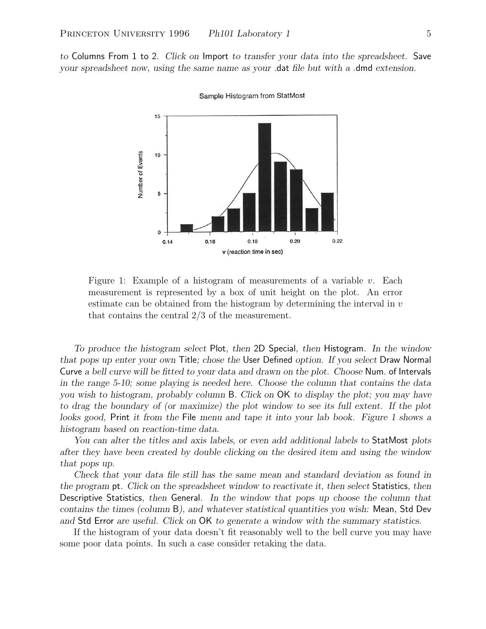*to* Columns From 1 to 2*. Click on* Import *to transfer your data into the spreadsheet.* Save *your spreadsheet now, using the same name as your* .dat *file but with a* .dmd *extension.*



Sample Histogram from StatMost

Figure 1: Example of a histogram of measurements of a variable v. Each measurement is represented by a box of unit height on the plot. An error estimate can be obtained from the histogram by determining the interval in  $v$ that contains the central 2/3 of the measurement.

*To produce the histogram select* Plot*, then* 2D Special*, then* Histogram*. In the window that pops up enter your own* Title*; chose the* User Defined *option. If you select* Draw Normal Curve *a bell curve will be fitted to your data and drawn on the plot. Choose* Num. of Intervals *in the range 5-10; some playing is needed here. Choose the column that contains the data you wish to histogram, probably column* B*. Click on* OK *to display the plot; you may have to drag the boundary of (or maximize) the plot window to see its full extent. If the plot looks good,* Print *it from the* File *menu and tape it into your lab book. Figure 1 shows a histogram based on reaction-time data.*

*You can alter the titles and axis labels, or even add additional labels to* StatMost *plots after they have been created by double clicking on the desired item and using the window that pops up.*

*Check that your data file still has the same mean and standard deviation as found in the program* pt*. Click on the spreadsheet window to reactivate it, then select* Statistics*, then* Descriptive Statistics*, then* General*. In the window that pops up choose the column that contains the times (column* B*), and whatever statistical quantities you wish:* Mean*,* Std Dev *and* Std Error *are useful. Click on* OK *to generate a window with the summary statistics.*

If the histogram of your data doesn't fit reasonably well to the bell curve you may have some poor data points. In such a case consider retaking the data.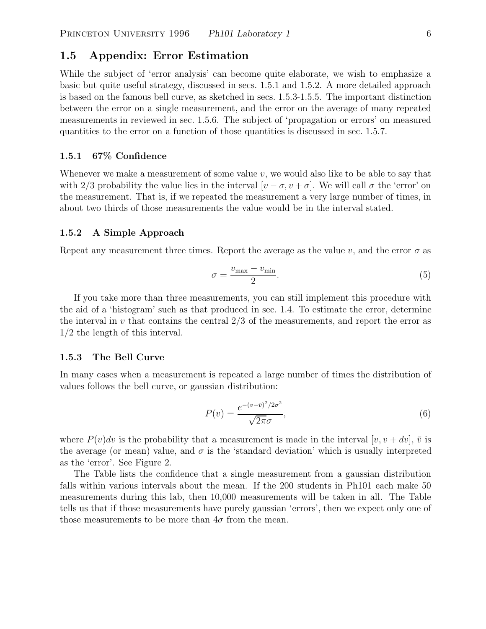# **1.5 Appendix: Error Estimation**

While the subject of 'error analysis' can become quite elaborate, we wish to emphasize a basic but quite useful strategy, discussed in secs. 1.5.1 and 1.5.2. A more detailed approach is based on the famous bell curve, as sketched in secs. 1.5.3-1.5.5. The important distinction between the error on a single measurement, and the error on the average of many repeated measurements in reviewed in sec. 1.5.6. The subject of 'propagation or errors' on measured quantities to the error on a function of those quantities is discussed in sec. 1.5.7.

### **1.5.1 67% Confidence**

Whenever we make a measurement of some value  $v$ , we would also like to be able to say that with 2/3 probability the value lies in the interval  $[v - \sigma, v + \sigma]$ . We will call  $\sigma$  the 'error' on the measurement. That is, if we repeated the measurement a very large number of times, in about two thirds of those measurements the value would be in the interval stated.

#### **1.5.2 A Simple Approach**

Repeat any measurement three times. Report the average as the value v, and the error  $\sigma$  as

$$
\sigma = \frac{v_{\text{max}} - v_{\text{min}}}{2}.\tag{5}
$$

If you take more than three measurements, you can still implement this procedure with the aid of a 'histogram' such as that produced in sec. 1.4. To estimate the error, determine the interval in  $v$  that contains the central  $2/3$  of the measurements, and report the error as 1/2 the length of this interval.

#### **1.5.3 The Bell Curve**

In many cases when a measurement is repeated a large number of times the distribution of values follows the bell curve, or gaussian distribution:

$$
P(v) = \frac{e^{-(v-\bar{v})^2/2\sigma^2}}{\sqrt{2\pi}\sigma},\tag{6}
$$

where  $P(v)dv$  is the probability that a measurement is made in the interval  $[v, v + dv], \overline{v}$  is the average (or mean) value, and  $\sigma$  is the 'standard deviation' which is usually interpreted as the 'error'. See Figure 2.

The Table lists the confidence that a single measurement from a gaussian distribution falls within various intervals about the mean. If the 200 students in Ph101 each make 50 measurements during this lab, then 10,000 measurements will be taken in all. The Table tells us that if those measurements have purely gaussian 'errors', then we expect only one of those measurements to be more than  $4\sigma$  from the mean.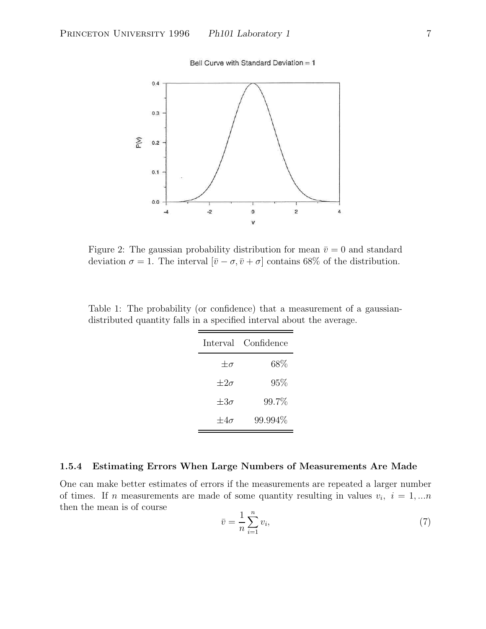Bell Curve with Standard Deviation = 1



Figure 2: The gaussian probability distribution for mean  $\bar{v} = 0$  and standard deviation  $\sigma = 1$ . The interval  $[\bar{v} - \sigma, \bar{v} + \sigma]$  contains 68% of the distribution.

Table 1: The probability (or confidence) that a measurement of a gaussiandistributed quantity falls in a specified interval about the average.

|               | Interval Confidence |
|---------------|---------------------|
| $+\sigma$     | $68\%$              |
| $\pm 2\sigma$ | 95%                 |
| $+3\sigma$    | $99.7\%$            |
| $+4\sigma$    | 99.994%             |

### **1.5.4 Estimating Errors When Large Numbers of Measurements Are Made**

One can make better estimates of errors if the measurements are repeated a larger number of times. If n measurements are made of some quantity resulting in values  $v_i$ ,  $i = 1,...n$ then the mean is of course

$$
\bar{v} = \frac{1}{n} \sum_{i=1}^{n} v_i,\tag{7}
$$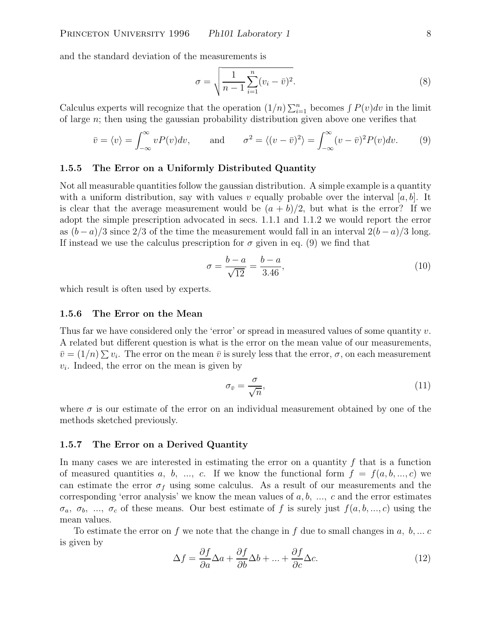and the standard deviation of the measurements is

$$
\sigma = \sqrt{\frac{1}{n-1} \sum_{i=1}^{n} (v_i - \bar{v})^2}.
$$
\n(8)

Calculus experts will recognize that the operation  $(1/n)\sum_{i=1}^n$  becomes  $\int P(v)dv$  in the limit of large  $n$ ; then using the gaussian probability distribution given above one verifies that

$$
\bar{v} = \langle v \rangle = \int_{-\infty}^{\infty} v P(v) dv,
$$
 and  $\sigma^2 = \langle (v - \bar{v})^2 \rangle = \int_{-\infty}^{\infty} (v - \bar{v})^2 P(v) dv.$  (9)

### **1.5.5 The Error on a Uniformly Distributed Quantity**

Not all measurable quantities follow the gaussian distribution. A simple example is a quantity with a uniform distribution, say with values v equally probable over the interval  $[a, b]$ . It is clear that the average measurement would be  $(a + b)/2$ , but what is the error? If we adopt the simple prescription advocated in secs. 1.1.1 and 1.1.2 we would report the error as  $(b-a)/3$  since 2/3 of the time the measurement would fall in an interval  $2(b-a)/3$  long. If instead we use the calculus prescription for  $\sigma$  given in eq. (9) we find that

$$
\sigma = \frac{b - a}{\sqrt{12}} = \frac{b - a}{3.46},\tag{10}
$$

which result is often used by experts.

#### **1.5.6 The Error on the Mean**

Thus far we have considered only the 'error' or spread in measured values of some quantity  $v$ . A related but different question is what is the error on the mean value of our measurements,  $\bar{v} = (1/n) \sum v_i$ . The error on the mean  $\bar{v}$  is surely less that the error,  $\sigma$ , on each measurement  $v_i$ . Indeed, the error on the mean is given by

$$
\sigma_{\bar{v}} = \frac{\sigma}{\sqrt{n}},\tag{11}
$$

where  $\sigma$  is our estimate of the error on an individual measurement obtained by one of the methods sketched previously.

### **1.5.7 The Error on a Derived Quantity**

In many cases we are interested in estimating the error on a quantity  $f$  that is a function of measured quantities a, b, ..., c. If we know the functional form  $f = f(a, b, ..., c)$  we can estimate the error  $\sigma_f$  using some calculus. As a result of our measurements and the corresponding 'error analysis' we know the mean values of  $a, b, ..., c$  and the error estimates  $\sigma_a, \sigma_b, \ldots, \sigma_c$  of these means. Our best estimate of f is surely just  $f(a, b, \ldots, c)$  using the mean values.

To estimate the error on f we note that the change in f due to small changes in  $a, b, \ldots c$ is given by

$$
\Delta f = \frac{\partial f}{\partial a} \Delta a + \frac{\partial f}{\partial b} \Delta b + \dots + \frac{\partial f}{\partial c} \Delta c.
$$
 (12)